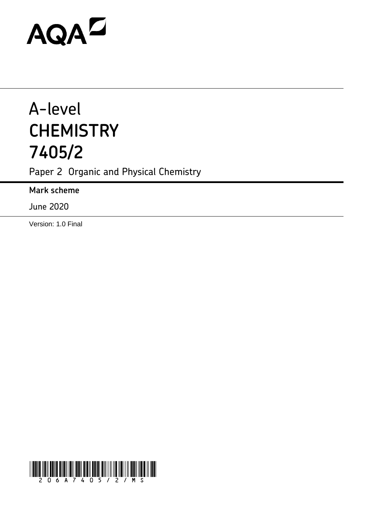# **AQAD**

## A-level **CHEMISTRY 7405/2**

Paper 2 Organic and Physical Chemistry

**Mark scheme**

June 2020

Version: 1.0 Final

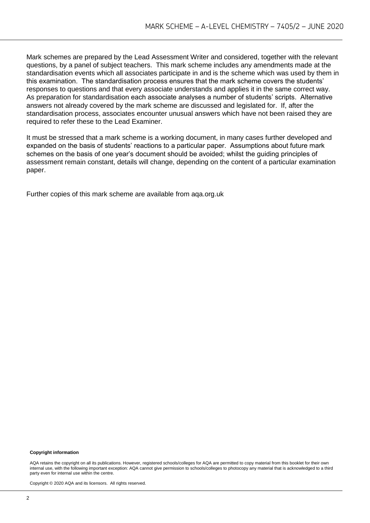Mark schemes are prepared by the Lead Assessment Writer and considered, together with the relevant questions, by a panel of subject teachers. This mark scheme includes any amendments made at the standardisation events which all associates participate in and is the scheme which was used by them in this examination. The standardisation process ensures that the mark scheme covers the students' responses to questions and that every associate understands and applies it in the same correct way. As preparation for standardisation each associate analyses a number of students' scripts. Alternative answers not already covered by the mark scheme are discussed and legislated for. If, after the standardisation process, associates encounter unusual answers which have not been raised they are required to refer these to the Lead Examiner.

It must be stressed that a mark scheme is a working document, in many cases further developed and expanded on the basis of students' reactions to a particular paper. Assumptions about future mark schemes on the basis of one year's document should be avoided; whilst the guiding principles of assessment remain constant, details will change, depending on the content of a particular examination paper.

Further copies of this mark scheme are available from aqa.org.uk

#### **Copyright information**

AQA retains the copyright on all its publications. However, registered schools/colleges for AQA are permitted to copy material from this booklet for their own internal use, with the following important exception: AQA cannot give permission to schools/colleges to photocopy any material that is acknowledged to a third party even for internal use within the centre.

Copyright © 2020 AQA and its licensors. All rights reserved.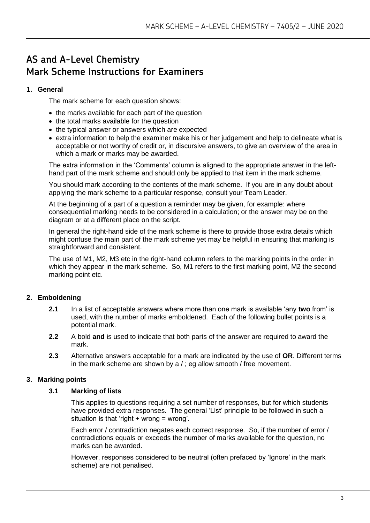### **AS and A-Level Chemistry Mark Scheme Instructions for Examiners**

#### **1. General**

The mark scheme for each question shows:

- the marks available for each part of the question
- the total marks available for the question
- the typical answer or answers which are expected
- extra information to help the examiner make his or her judgement and help to delineate what is acceptable or not worthy of credit or, in discursive answers, to give an overview of the area in which a mark or marks may be awarded.

The extra information in the 'Comments' column is aligned to the appropriate answer in the lefthand part of the mark scheme and should only be applied to that item in the mark scheme.

You should mark according to the contents of the mark scheme. If you are in any doubt about applying the mark scheme to a particular response, consult your Team Leader.

At the beginning of a part of a question a reminder may be given, for example: where consequential marking needs to be considered in a calculation; or the answer may be on the diagram or at a different place on the script.

In general the right-hand side of the mark scheme is there to provide those extra details which might confuse the main part of the mark scheme yet may be helpful in ensuring that marking is straightforward and consistent.

The use of M1, M2, M3 etc in the right-hand column refers to the marking points in the order in which they appear in the mark scheme. So, M1 refers to the first marking point, M2 the second marking point etc.

#### **2. Emboldening**

- **2.1** In a list of acceptable answers where more than one mark is available 'any **two** from' is used, with the number of marks emboldened. Each of the following bullet points is a potential mark.
- **2.2** A bold **and** is used to indicate that both parts of the answer are required to award the mark.
- **2.3** Alternative answers acceptable for a mark are indicated by the use of **OR**. Different terms in the mark scheme are shown by a / ; eg allow smooth / free movement.

#### **3. Marking points**

#### **3.1 Marking of lists**

This applies to questions requiring a set number of responses, but for which students have provided extra responses. The general 'List' principle to be followed in such a situation is that 'right  $+$  wrong = wrong'.

Each error / contradiction negates each correct response. So, if the number of error / contradictions equals or exceeds the number of marks available for the question, no marks can be awarded.

However, responses considered to be neutral (often prefaced by 'Ignore' in the mark scheme) are not penalised.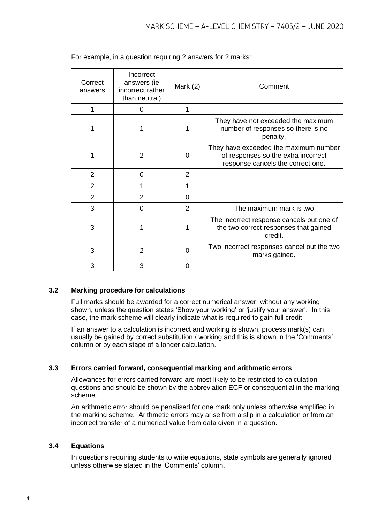| Correct<br>answers | Incorrect<br>answers (ie<br>incorrect rather<br>than neutral) | Mark $(2)$     | Comment                                                                                                           |
|--------------------|---------------------------------------------------------------|----------------|-------------------------------------------------------------------------------------------------------------------|
| 1                  | 0                                                             | 1              |                                                                                                                   |
| 1                  | 1                                                             | 1              | They have not exceeded the maximum<br>number of responses so there is no<br>penalty.                              |
| 1                  | $\overline{2}$                                                | 0              | They have exceeded the maximum number<br>of responses so the extra incorrect<br>response cancels the correct one. |
| $\overline{2}$     | $\Omega$                                                      | $\overline{2}$ |                                                                                                                   |
| $\overline{2}$     |                                                               | 1              |                                                                                                                   |
| $\overline{2}$     | 2                                                             | 0              |                                                                                                                   |
| 3                  | 0                                                             | 2              | The maximum mark is two                                                                                           |
| 3                  | 1                                                             |                | The incorrect response cancels out one of<br>the two correct responses that gained<br>credit.                     |
| 3                  | $\overline{2}$                                                | 0              | Two incorrect responses cancel out the two<br>marks gained.                                                       |
| 3                  | 3                                                             | 0              |                                                                                                                   |

For example, in a question requiring 2 answers for 2 marks:

#### **3.2 Marking procedure for calculations**

Full marks should be awarded for a correct numerical answer, without any working shown, unless the question states 'Show your working' or 'justify your answer'. In this case, the mark scheme will clearly indicate what is required to gain full credit.

If an answer to a calculation is incorrect and working is shown, process mark(s) can usually be gained by correct substitution / working and this is shown in the 'Comments' column or by each stage of a longer calculation.

#### **3.3 Errors carried forward, consequential marking and arithmetic errors**

Allowances for errors carried forward are most likely to be restricted to calculation questions and should be shown by the abbreviation ECF or consequential in the marking scheme.

An arithmetic error should be penalised for one mark only unless otherwise amplified in the marking scheme. Arithmetic errors may arise from a slip in a calculation or from an incorrect transfer of a numerical value from data given in a question.

#### **3.4 Equations**

In questions requiring students to write equations, state symbols are generally ignored unless otherwise stated in the 'Comments' column.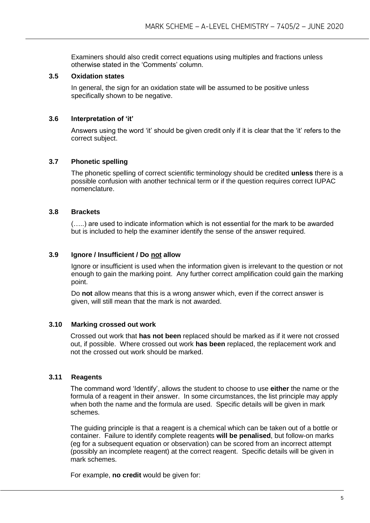Examiners should also credit correct equations using multiples and fractions unless otherwise stated in the 'Comments' column.

#### **3.5 Oxidation states**

In general, the sign for an oxidation state will be assumed to be positive unless specifically shown to be negative.

#### **3.6 Interpretation of 'it'**

Answers using the word 'it' should be given credit only if it is clear that the 'it' refers to the correct subject.

#### **3.7 Phonetic spelling**

The phonetic spelling of correct scientific terminology should be credited **unless** there is a possible confusion with another technical term or if the question requires correct IUPAC nomenclature.

#### **3.8 Brackets**

(…..) are used to indicate information which is not essential for the mark to be awarded but is included to help the examiner identify the sense of the answer required.

#### **3.9 Ignore / Insufficient / Do not allow**

Ignore or insufficient is used when the information given is irrelevant to the question or not enough to gain the marking point. Any further correct amplification could gain the marking point.

Do **not** allow means that this is a wrong answer which, even if the correct answer is given, will still mean that the mark is not awarded.

#### **3.10 Marking crossed out work**

Crossed out work that **has not been** replaced should be marked as if it were not crossed out, if possible. Where crossed out work **has been** replaced, the replacement work and not the crossed out work should be marked.

#### **3.11 Reagents**

The command word 'Identify', allows the student to choose to use **either** the name or the formula of a reagent in their answer. In some circumstances, the list principle may apply when both the name and the formula are used. Specific details will be given in mark schemes.

The guiding principle is that a reagent is a chemical which can be taken out of a bottle or container. Failure to identify complete reagents **will be penalised**, but follow-on marks (eg for a subsequent equation or observation) can be scored from an incorrect attempt (possibly an incomplete reagent) at the correct reagent. Specific details will be given in mark schemes.

For example, **no credit** would be given for: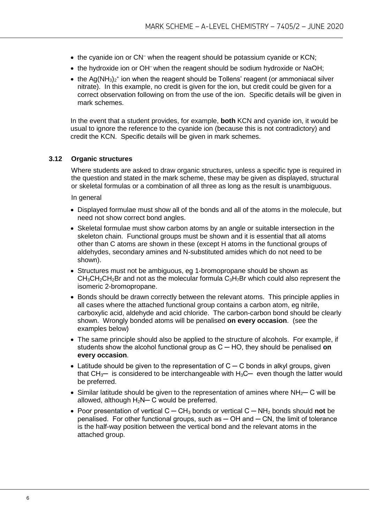- the cyanide ion or CN<sup>-</sup> when the reagent should be potassium cyanide or KCN;
- the hydroxide ion or OH<sup>-</sup> when the reagent should be sodium hydroxide or NaOH;
- the Ag(NH<sub>3</sub>)<sub>2</sub><sup>+</sup> ion when the reagent should be Tollens' reagent (or ammoniacal silver nitrate). In this example, no credit is given for the ion, but credit could be given for a correct observation following on from the use of the ion. Specific details will be given in mark schemes.

In the event that a student provides, for example, **both** KCN and cyanide ion, it would be usual to ignore the reference to the cyanide ion (because this is not contradictory) and credit the KCN. Specific details will be given in mark schemes.

#### **3.12 Organic structures**

Where students are asked to draw organic structures, unless a specific type is required in the question and stated in the mark scheme, these may be given as displayed, structural or skeletal formulas or a combination of all three as long as the result is unambiguous.

In general

- Displayed formulae must show all of the bonds and all of the atoms in the molecule, but need not show correct bond angles.
- Skeletal formulae must show carbon atoms by an angle or suitable intersection in the skeleton chain. Functional groups must be shown and it is essential that all atoms other than C atoms are shown in these (except H atoms in the functional groups of aldehydes, secondary amines and N-substituted amides which do not need to be shown).
- Structures must not be ambiguous, eg 1-bromopropane should be shown as  $CH<sub>3</sub>CH<sub>2</sub>CH<sub>2</sub>Br$  and not as the molecular formula  $C<sub>3</sub>H<sub>7</sub>Br$  which could also represent the isomeric 2-bromopropane.
- Bonds should be drawn correctly between the relevant atoms. This principle applies in all cases where the attached functional group contains a carbon atom, eg nitrile, carboxylic acid, aldehyde and acid chloride. The carbon-carbon bond should be clearly shown. Wrongly bonded atoms will be penalised **on every occasion**. (see the examples below)
- The same principle should also be applied to the structure of alcohols. For example, if students show the alcohol functional group as C ─ HO, they should be penalised **on every occasion**.
- Latitude should be given to the representation of  $C C$  bonds in alkyl groups, given that  $CH_3$ — is considered to be interchangeable with  $H_3C$ — even though the latter would be preferred.
- Similar latitude should be given to the representation of amines where  $NH<sub>2</sub>$  C will be allowed, although  $H_2N-C$  would be preferred.
- Poor presentation of vertical C ─ CH<sup>3</sup> bonds or vertical C ─ NH<sup>2</sup> bonds should **not** be  $penalised.$  For other functional groups, such as  $-$  OH and  $-$  CN, the limit of tolerance is the half-way position between the vertical bond and the relevant atoms in the attached group.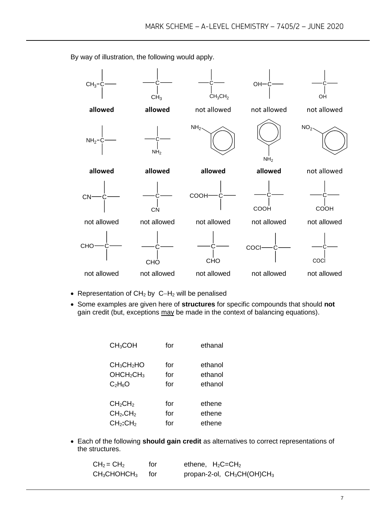$CH<sub>3</sub>$  $CH<sub>3</sub>$ C  $CH<sub>3</sub>CH<sub>2</sub>$  $OH<sup>-</sup>$ OH **allowed allowed** not allowed not allowed not allowed  $NH<sub>2</sub>$  $NH<sub>2</sub>$  $NH<sub>2</sub>$  $N$ H<sub>2</sub>  $NO<sub>2</sub>$ **allowed allowed allowed allowed** not allowed  $CN<sub>c</sub>$ CN **COOH** COOH C COOH not allowed not allowed not allowed not allowed not allowed **CHO CHO** C CHO **COCI** COCl not allowed not allowed not allowed not allowed not allowed

By way of illustration, the following would apply.

- Representation of CH<sup>2</sup> by C−H<sup>2</sup> will be penalised
- Some examples are given here of **structures** for specific compounds that should **not** gain credit (but, exceptions may be made in the context of balancing equations).

| CH <sub>3</sub> COH                | for | ethanal |
|------------------------------------|-----|---------|
| CH <sub>3</sub> CH <sub>2</sub> HO | for | ethanol |
| OHCH <sub>2</sub> CH <sub>3</sub>  | for | ethanol |
| $C_2H_6O$                          | for | ethanol |
| CH <sub>2</sub> CH <sub>2</sub>    | for | ethene  |
| CH <sub>2</sub> .CH <sub>2</sub>   | for | ethene  |
| CH <sub>2</sub> :CH <sub>2</sub>   | for | ethene  |

• Each of the following **should gain credit** as alternatives to correct representations of the structures.

| $CH2 = CH2$      | for | ethene, $H_2C = CH_2$         |
|------------------|-----|-------------------------------|
| $CH3CHOHCH3$ for |     | propan-2-ol, $CH_3CH(OH)CH_3$ |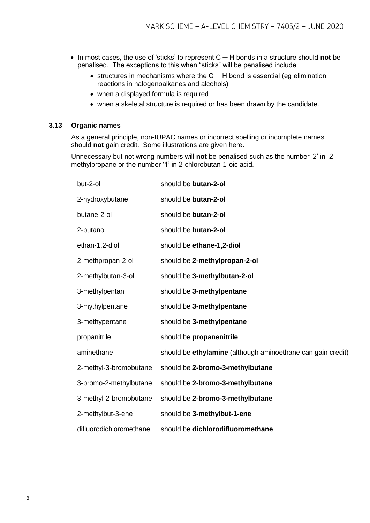- In most cases, the use of 'sticks' to represent C ─ H bonds in a structure should **not** be penalised. The exceptions to this when "sticks" will be penalised include
	- structures in mechanisms where the C ─ H bond is essential (eg elimination reactions in halogenoalkanes and alcohols)
	- when a displayed formula is required
	- when a skeletal structure is required or has been drawn by the candidate.

#### **3.13 Organic names**

As a general principle, non-IUPAC names or incorrect spelling or incomplete names should **not** gain credit. Some illustrations are given here.

Unnecessary but not wrong numbers will **not** be penalised such as the number '2' in 2 methylpropane or the number '1' in 2-chlorobutan-1-oic acid.

| but-2-ol                | should be butan-2-ol                                        |
|-------------------------|-------------------------------------------------------------|
| 2-hydroxybutane         | should be butan-2-ol                                        |
| butane-2-ol             | should be butan-2-ol                                        |
| 2-butanol               | should be butan-2-ol                                        |
| ethan-1,2-diol          | should be ethane-1,2-diol                                   |
| 2-methpropan-2-ol       | should be 2-methylpropan-2-ol                               |
| 2-methylbutan-3-ol      | should be 3-methylbutan-2-ol                                |
| 3-methylpentan          | should be 3-methylpentane                                   |
| 3-mythylpentane         | should be 3-methylpentane                                   |
| 3-methypentane          | should be 3-methylpentane                                   |
| propanitrile            | should be propanenitrile                                    |
| aminethane              | should be ethylamine (although aminoethane can gain credit) |
| 2-methyl-3-bromobutane  | should be 2-bromo-3-methylbutane                            |
| 3-bromo-2-methylbutane  | should be 2-bromo-3-methylbutane                            |
| 3-methyl-2-bromobutane  | should be 2-bromo-3-methylbutane                            |
| 2-methylbut-3-ene       | should be 3-methylbut-1-ene                                 |
| difluorodichloromethane | should be dichlorodifluoromethane                           |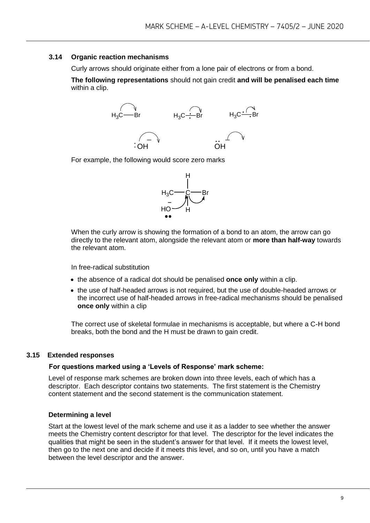#### **3.14 Organic reaction mechanisms**

Curly arrows should originate either from a lone pair of electrons or from a bond.

**The following representations** should not gain credit **and will be penalised each time**  within a clip.



For example, the following would score zero marks



When the curly arrow is showing the formation of a bond to an atom, the arrow can go directly to the relevant atom, alongside the relevant atom or **more than half-way** towards the relevant atom.

In free-radical substitution

- the absence of a radical dot should be penalised **once only** within a clip.
- the use of half-headed arrows is not required, but the use of double-headed arrows or the incorrect use of half-headed arrows in free-radical mechanisms should be penalised **once only** within a clip

The correct use of skeletal formulae in mechanisms is acceptable, but where a C-H bond breaks, both the bond and the H must be drawn to gain credit.

#### **3.15 Extended responses**

#### **For questions marked using a 'Levels of Response' mark scheme:**

Level of response mark schemes are broken down into three levels, each of which has a descriptor. Each descriptor contains two statements. The first statement is the Chemistry content statement and the second statement is the communication statement.

#### **Determining a level**

Start at the lowest level of the mark scheme and use it as a ladder to see whether the answer meets the Chemistry content descriptor for that level. The descriptor for the level indicates the qualities that might be seen in the student's answer for that level. If it meets the lowest level, then go to the next one and decide if it meets this level, and so on, until you have a match between the level descriptor and the answer.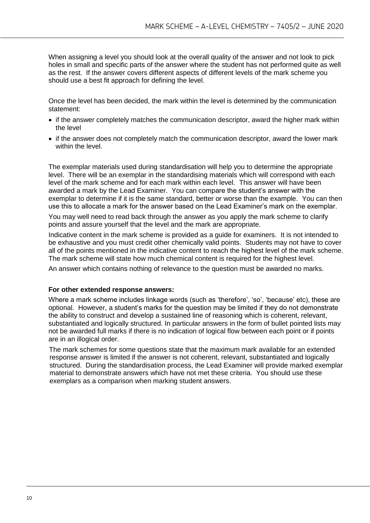When assigning a level you should look at the overall quality of the answer and not look to pick holes in small and specific parts of the answer where the student has not performed quite as well as the rest. If the answer covers different aspects of different levels of the mark scheme you should use a best fit approach for defining the level.

Once the level has been decided, the mark within the level is determined by the communication statement:

- if the answer completely matches the communication descriptor, award the higher mark within the level
- if the answer does not completely match the communication descriptor, award the lower mark within the level.

The exemplar materials used during standardisation will help you to determine the appropriate level. There will be an exemplar in the standardising materials which will correspond with each level of the mark scheme and for each mark within each level. This answer will have been awarded a mark by the Lead Examiner. You can compare the student's answer with the exemplar to determine if it is the same standard, better or worse than the example. You can then use this to allocate a mark for the answer based on the Lead Examiner's mark on the exemplar.

You may well need to read back through the answer as you apply the mark scheme to clarify points and assure yourself that the level and the mark are appropriate.

Indicative content in the mark scheme is provided as a guide for examiners. It is not intended to be exhaustive and you must credit other chemically valid points. Students may not have to cover all of the points mentioned in the indicative content to reach the highest level of the mark scheme. The mark scheme will state how much chemical content is required for the highest level.

An answer which contains nothing of relevance to the question must be awarded no marks.

#### **For other extended response answers:**

Where a mark scheme includes linkage words (such as 'therefore', 'so', 'because' etc), these are optional. However, a student's marks for the question may be limited if they do not demonstrate the ability to construct and develop a sustained line of reasoning which is coherent, relevant, substantiated and logically structured. In particular answers in the form of bullet pointed lists may not be awarded full marks if there is no indication of logical flow between each point or if points are in an illogical order.

The mark schemes for some questions state that the maximum mark available for an extended response answer is limited if the answer is not coherent, relevant, substantiated and logically structured. During the standardisation process, the Lead Examiner will provide marked exemplar material to demonstrate answers which have not met these criteria. You should use these exemplars as a comparison when marking student answers.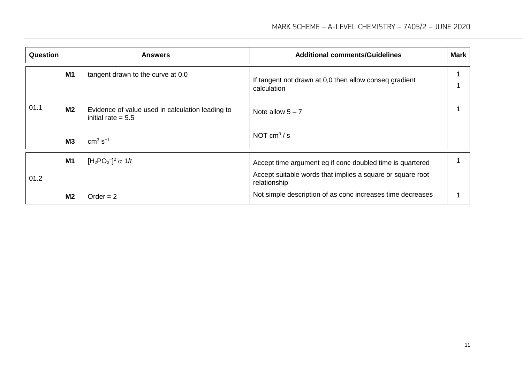| <b>Question</b> |                | <b>Answers</b>                                                           | <b>Additional comments/Guidelines</b>                                      | <b>Mark</b> |
|-----------------|----------------|--------------------------------------------------------------------------|----------------------------------------------------------------------------|-------------|
|                 | <b>M1</b>      | tangent drawn to the curve at 0,0                                        | If tangent not drawn at 0,0 then allow conseq gradient<br>calculation      |             |
| 01.1            | <b>M2</b>      | Evidence of value used in calculation leading to<br>initial rate $= 5.5$ | Note allow $5 - 7$                                                         |             |
|                 | M <sub>3</sub> | $cm3 s-1$                                                                | NOT $cm3/s$                                                                |             |
|                 | <b>M1</b>      | [H <sub>2</sub> PO <sub>2</sub> <sup>-</sup> ] <sup>2</sup> $\alpha$ 1/t | Accept time argument eg if conc doubled time is quartered                  |             |
| 01.2            |                |                                                                          | Accept suitable words that implies a square or square root<br>relationship |             |
|                 | M <sub>2</sub> | $Order = 2$                                                              | Not simple description of as conc increases time decreases                 |             |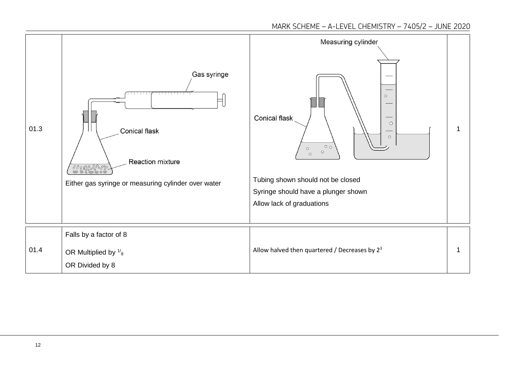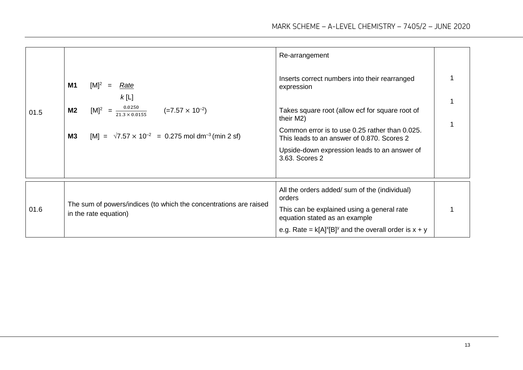|      |                                                                                            | Re-arrangement                                                                               |  |
|------|--------------------------------------------------------------------------------------------|----------------------------------------------------------------------------------------------|--|
|      | M1<br>$[M]^2$ = Rate<br>k[L]                                                               | Inserts correct numbers into their rearranged<br>expression                                  |  |
| 01.5 | $\frac{0.0250}{21.3 \times 0.0155}$<br>$(=7.57 \times 10^{-2})$<br>$[M]^2 =$<br><b>M2</b>  | Takes square root (allow ecf for square root of<br>their M2)                                 |  |
|      | $[M] = \sqrt{7.57 \times 10^{-2}} = 0.275$ mol dm <sup>-3</sup> (min 2 sf)<br>M3           | Common error is to use 0.25 rather than 0.025.<br>This leads to an answer of 0.870. Scores 2 |  |
|      |                                                                                            | Upside-down expression leads to an answer of<br>3.63. Scores 2                               |  |
|      |                                                                                            |                                                                                              |  |
|      |                                                                                            | All the orders added/ sum of the (individual)<br>orders                                      |  |
| 01.6 | The sum of powers/indices (to which the concentrations are raised<br>in the rate equation) | This can be explained using a general rate<br>equation stated as an example                  |  |
|      |                                                                                            | e.g. Rate = $k[A]^x[B]^y$ and the overall order is $x + y$                                   |  |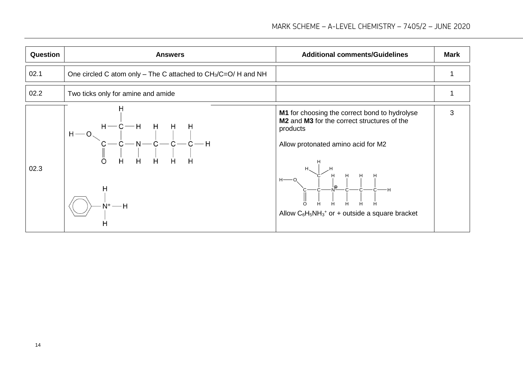| Question | <b>Answers</b>                                                  | <b>Additional comments/Guidelines</b>                                                                                                                                                                                                                                                                                                                                                | Mark |
|----------|-----------------------------------------------------------------|--------------------------------------------------------------------------------------------------------------------------------------------------------------------------------------------------------------------------------------------------------------------------------------------------------------------------------------------------------------------------------------|------|
| 02.1     | One circled C atom only – The C attached to $CH_3/C=O/H$ and NH |                                                                                                                                                                                                                                                                                                                                                                                      |      |
| 02.2     | Two ticks only for amine and amide                              |                                                                                                                                                                                                                                                                                                                                                                                      |      |
| 02.3     | н<br>Η<br>$N^+$ — H                                             | M1 for choosing the correct bond to hydrolyse<br>M <sub>2</sub> and M <sub>3</sub> for the correct structures of the<br>products<br>Allow protonated amino acid for M2<br>$e \rightarrow e \rightarrow \vec{b} \rightarrow \vec{c} \rightarrow \vec{c} \rightarrow \vec{c} \rightarrow \vec{c} \rightarrow \vec{c}$<br>Allow $C_6H_5NH_3$ <sup>+</sup> or + outside a square bracket | 3    |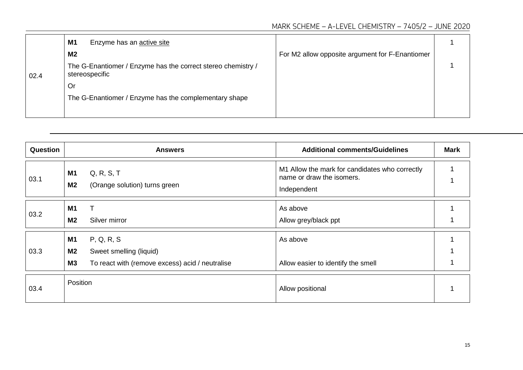|      | M1<br>Enzyme has an active site                                                |                                                 |  |
|------|--------------------------------------------------------------------------------|-------------------------------------------------|--|
|      | M2                                                                             | For M2 allow opposite argument for F-Enantiomer |  |
| 02.4 | The G-Enantiomer / Enzyme has the correct stereo chemistry /<br>stereospecific |                                                 |  |
|      | Or                                                                             |                                                 |  |
|      | The G-Enantiomer / Enzyme has the complementary shape                          |                                                 |  |
|      |                                                                                |                                                 |  |

| Question |                                          | <b>Answers</b>                                                                           | <b>Additional comments/Guidelines</b>                                                      | <b>Mark</b> |
|----------|------------------------------------------|------------------------------------------------------------------------------------------|--------------------------------------------------------------------------------------------|-------------|
| 03.1     | <b>M1</b><br><b>M2</b>                   | Q, R, S, T<br>(Orange solution) turns green                                              | M1 Allow the mark for candidates who correctly<br>name or draw the isomers.<br>Independent |             |
| 03.2     | M <sub>1</sub><br>M2                     | Silver mirror                                                                            | As above<br>Allow grey/black ppt                                                           |             |
| 03.3     | <b>M1</b><br><b>M2</b><br>M <sub>3</sub> | P, Q, R, S<br>Sweet smelling (liquid)<br>To react with (remove excess) acid / neutralise | As above<br>Allow easier to identify the smell                                             |             |
| 03.4     | Position                                 |                                                                                          | Allow positional                                                                           |             |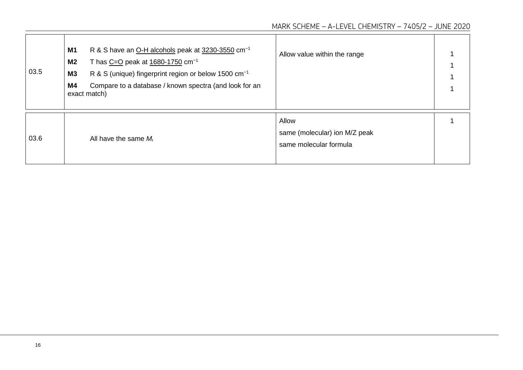| 03.5 | R & S have an O-H alcohols peak at 3230-3550 cm <sup>-1</sup><br><b>M1</b><br>T has $C=O$ peak at $1680-1750$ cm <sup>-1</sup><br>M <sub>2</sub><br>R & S (unique) fingerprint region or below 1500 cm <sup>-1</sup><br>M3<br>Compare to a database / known spectra (and look for an<br>M4<br>exact match) | Allow value within the range                                     |  |
|------|------------------------------------------------------------------------------------------------------------------------------------------------------------------------------------------------------------------------------------------------------------------------------------------------------------|------------------------------------------------------------------|--|
| 03.6 | All have the same $M_r$                                                                                                                                                                                                                                                                                    | Allow<br>same (molecular) ion M/Z peak<br>same molecular formula |  |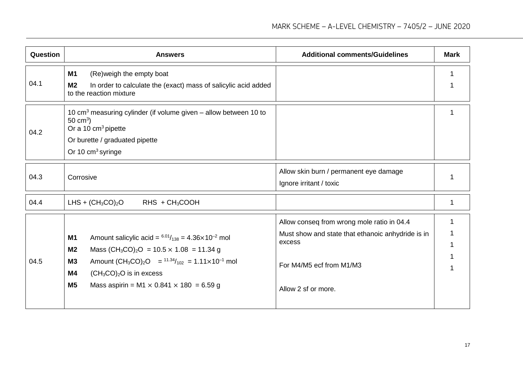| Question | <b>Answers</b>                                                                                                                                                                                                                                                                                                                                            | <b>Additional comments/Guidelines</b>                                                                                                                        | <b>Mark</b> |
|----------|-----------------------------------------------------------------------------------------------------------------------------------------------------------------------------------------------------------------------------------------------------------------------------------------------------------------------------------------------------------|--------------------------------------------------------------------------------------------------------------------------------------------------------------|-------------|
| 04.1     | <b>M1</b><br>(Re) weigh the empty boat<br>M <sub>2</sub><br>In order to calculate the (exact) mass of salicylic acid added<br>to the reaction mixture                                                                                                                                                                                                     |                                                                                                                                                              |             |
| 04.2     | 10 $\text{cm}^3$ measuring cylinder (if volume given – allow between 10 to<br>50 cm <sup>3</sup> )<br>Or a 10 cm <sup>3</sup> pipette<br>Or burette / graduated pipette<br>Or 10 cm <sup>3</sup> syringe                                                                                                                                                  |                                                                                                                                                              |             |
| 04.3     | Corrosive                                                                                                                                                                                                                                                                                                                                                 | Allow skin burn / permanent eye damage<br>Ignore irritant / toxic                                                                                            |             |
| 04.4     | LHS + $(CH_3CO)_2O$<br>RHS + CH <sub>3</sub> COOH                                                                                                                                                                                                                                                                                                         |                                                                                                                                                              | 1           |
| 04.5     | Amount salicylic acid = $^{6.01}/_{138}$ = 4.36×10 <sup>-2</sup> mol<br><b>M1</b><br>Mass $(CH_3CO)_2O = 10.5 \times 1.08 = 11.34 g$<br>M <sub>2</sub><br>Amount $(CH_3CO)_2O = \frac{11.34}{102} = 1.11 \times 10^{-1}$ mol<br><b>M3</b><br>$(CH_3CO)_2O$ is in excess<br>M4<br>M <sub>5</sub><br>Mass aspirin = M1 $\times$ 0.841 $\times$ 180 = 6.59 g | Allow conseq from wrong mole ratio in 04.4<br>Must show and state that ethanoic anhydride is in<br>excess<br>For M4/M5 ecf from M1/M3<br>Allow 2 sf or more. |             |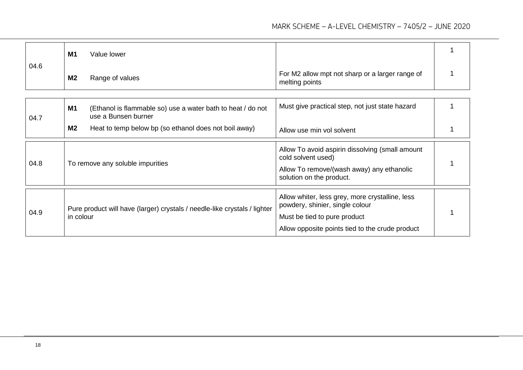| 04.6 | <b>M1</b><br>Value lower                                                                        |                                                                                                                                                                       |  |
|------|-------------------------------------------------------------------------------------------------|-----------------------------------------------------------------------------------------------------------------------------------------------------------------------|--|
|      | <b>M2</b><br>Range of values                                                                    | For M2 allow mpt not sharp or a larger range of<br>melting points                                                                                                     |  |
|      |                                                                                                 |                                                                                                                                                                       |  |
| 04.7 | <b>M1</b><br>(Ethanol is flammable so) use a water bath to heat / do not<br>use a Bunsen burner | Must give practical step, not just state hazard                                                                                                                       |  |
|      | M <sub>2</sub><br>Heat to temp below bp (so ethanol does not boil away)                         | Allow use min vol solvent                                                                                                                                             |  |
| 04.8 | To remove any soluble impurities                                                                | Allow To avoid aspirin dissolving (small amount<br>cold solvent used)<br>Allow To remove/(wash away) any ethanolic<br>solution on the product.                        |  |
| 04.9 | Pure product will have (larger) crystals / needle-like crystals / lighter<br>in colour          | Allow whiter, less grey, more crystalline, less<br>powdery, shinier, single colour<br>Must be tied to pure product<br>Allow opposite points tied to the crude product |  |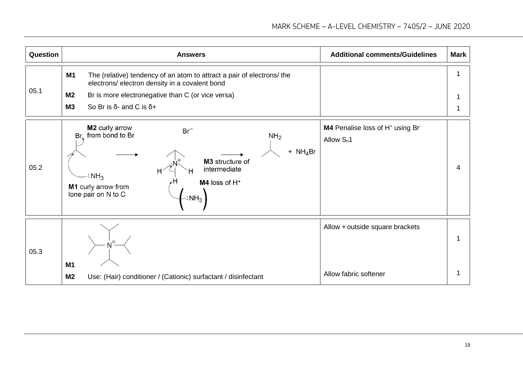| Question | <b>Answers</b>                                                                                                                                                                                                                                                | <b>Additional comments/Guidelines</b>                                     | <b>Mark</b> |
|----------|---------------------------------------------------------------------------------------------------------------------------------------------------------------------------------------------------------------------------------------------------------------|---------------------------------------------------------------------------|-------------|
| 05.1     | <b>M1</b><br>The (relative) tendency of an atom to attract a pair of electrons/ the<br>electrons/ electron density in a covalent bond<br>M <sub>2</sub><br>Br is more electronegative than C (or vice versa)<br><b>M3</b><br>So Br is δ- and C is $δ+$        |                                                                           | 1<br>1      |
| 05.2     | M2 curly arrow<br>$Br^-$<br>Br, from bond to Br<br>NH <sub>2</sub><br>+ $NH_4Br$<br>M3 structure of<br>intermediate<br>Н<br>$\cdot$ : NH <sub>3</sub><br>M4 loss of H <sup>+</sup><br>M1 curly arrow from<br>lone pair on N to C<br>$\cdot$ : NH <sub>3</sub> | M4 Penalise loss of H <sup>+</sup> using Br <sup>-</sup><br>Allow $S_n$ 1 | 4           |
| 05.3     | M1<br>M <sub>2</sub><br>Use: (Hair) conditioner / (Cationic) surfactant / disinfectant                                                                                                                                                                        | Allow + outside square brackets<br>Allow fabric softener                  |             |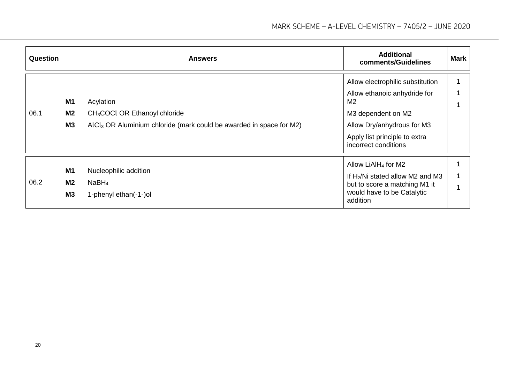| <b>Question</b> |                                   | <b>Answers</b>                                                                                                                            | <b>Additional</b><br>comments/Guidelines                                                                                                                                                        | <b>Mark</b> |
|-----------------|-----------------------------------|-------------------------------------------------------------------------------------------------------------------------------------------|-------------------------------------------------------------------------------------------------------------------------------------------------------------------------------------------------|-------------|
| 06.1            | M1<br>M2<br><b>M3</b>             | Acylation<br>CH <sub>3</sub> COCl OR Ethanoyl chloride<br>AICI <sub>3</sub> OR Aluminium chloride (mark could be awarded in space for M2) | Allow electrophilic substitution<br>Allow ethanoic anhydride for<br>M <sub>2</sub><br>M3 dependent on M2<br>Allow Dry/anhydrous for M3<br>Apply list principle to extra<br>incorrect conditions |             |
| 06.2            | M1<br>M <sub>2</sub><br><b>M3</b> | Nucleophilic addition<br>NaBH <sub>4</sub><br>1-phenyl ethan(-1-)ol                                                                       | Allow LiAlH <sub>4</sub> for M2<br>If $H_2/Ni$ stated allow M2 and M3<br>but to score a matching M1 it<br>would have to be Catalytic<br>addition                                                |             |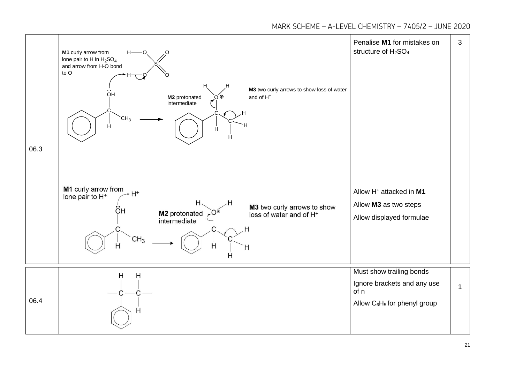MARK SCHEME – A-LEVEL CHEMISTRY – 7405/2 – JUNE 2020

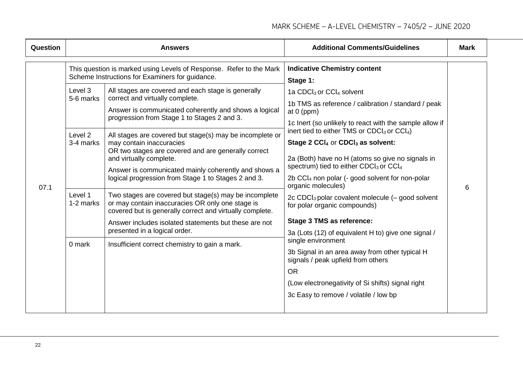| Question |                                                         | <b>Answers</b>                                                                                                                                                                                                                                                                                                                                                                                                                                                                                                                                                                                                   | <b>Additional Comments/Guidelines</b>                                                                                                                                                                                                                                                                                                                                                                                                                                                                                                      | <b>Mark</b> |
|----------|---------------------------------------------------------|------------------------------------------------------------------------------------------------------------------------------------------------------------------------------------------------------------------------------------------------------------------------------------------------------------------------------------------------------------------------------------------------------------------------------------------------------------------------------------------------------------------------------------------------------------------------------------------------------------------|--------------------------------------------------------------------------------------------------------------------------------------------------------------------------------------------------------------------------------------------------------------------------------------------------------------------------------------------------------------------------------------------------------------------------------------------------------------------------------------------------------------------------------------------|-------------|
|          | Level 3<br>5-6 marks<br>Level <sub>2</sub><br>3-4 marks | This question is marked using Levels of Response. Refer to the Mark<br>Scheme Instructions for Examiners for guidance.<br>All stages are covered and each stage is generally<br>correct and virtually complete.<br>Answer is communicated coherently and shows a logical<br>progression from Stage 1 to Stages 2 and 3.<br>All stages are covered but stage(s) may be incomplete or<br>may contain inaccuracies<br>OR two stages are covered and are generally correct<br>and virtually complete.<br>Answer is communicated mainly coherently and shows a<br>logical progression from Stage 1 to Stages 2 and 3. | <b>Indicative Chemistry content</b><br>Stage 1:<br>1a CDCl <sub>3</sub> or CCl <sub>4</sub> solvent<br>1b TMS as reference / calibration / standard / peak<br>at $0$ (ppm)<br>1c Inert (so unlikely to react with the sample allow if<br>inert tied to either TMS or $CDCl3$ or $CCl4$ )<br>Stage 2 CCl <sub>4</sub> or CDCl <sub>3</sub> as solvent:<br>2a (Both) have no H (atoms so give no signals in<br>spectrum) tied to either CDCl <sub>3</sub> or CCl <sub>4</sub><br>2b CCl <sub>4</sub> non polar (- good solvent for non-polar |             |
| 07.1     | Level 1<br>1-2 marks                                    | Two stages are covered but stage(s) may be incomplete<br>or may contain inaccuracies OR only one stage is<br>covered but is generally correct and virtually complete.                                                                                                                                                                                                                                                                                                                                                                                                                                            | organic molecules)<br>2c CDC $l_3$ polar covalent molecule $(-$ good solvent<br>for polar organic compounds)                                                                                                                                                                                                                                                                                                                                                                                                                               | 6           |
|          |                                                         | Answer includes isolated statements but these are not<br>presented in a logical order.                                                                                                                                                                                                                                                                                                                                                                                                                                                                                                                           | Stage 3 TMS as reference:<br>3a (Lots (12) of equivalent H to) give one signal /                                                                                                                                                                                                                                                                                                                                                                                                                                                           |             |
|          | 0 mark                                                  | Insufficient correct chemistry to gain a mark.                                                                                                                                                                                                                                                                                                                                                                                                                                                                                                                                                                   | single environment<br>3b Signal in an area away from other typical H<br>signals / peak upfield from others<br><b>OR</b><br>(Low electronegativity of Si shifts) signal right<br>3c Easy to remove / volatile / low bp                                                                                                                                                                                                                                                                                                                      |             |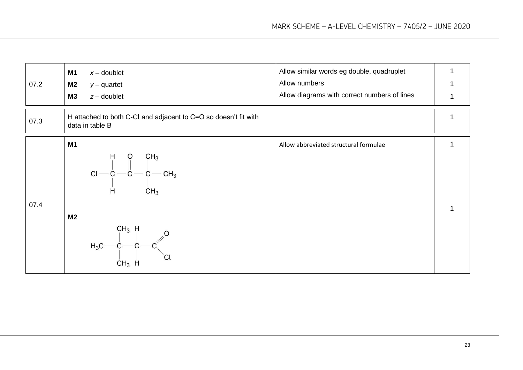| 07.2 | <b>M1</b><br>$x -$ doublet<br><b>M2</b><br>$y -$ quartet<br><b>M3</b><br>$z -$ doublet                                                                                                      | Allow similar words eg double, quadruplet<br>Allow numbers<br>Allow diagrams with correct numbers of lines |  |
|------|---------------------------------------------------------------------------------------------------------------------------------------------------------------------------------------------|------------------------------------------------------------------------------------------------------------|--|
|      |                                                                                                                                                                                             |                                                                                                            |  |
| 07.3 | H attached to both C-Cl and adjacent to C=O so doesn't fit with<br>data in table B                                                                                                          |                                                                                                            |  |
|      | <b>M1</b>                                                                                                                                                                                   | Allow abbreviated structural formulae                                                                      |  |
| 07.4 | $\text{Cl} \begin{array}{c c} \text{H} & \text{O} & \text{CH}_3 \\ \text{C} & \text{I} & \text{I} \\ \text{C} & \text{C} & \text{C} - \text{CH}_3 \\ \text{H} & \text{CH}_3 \\ \end{array}$ |                                                                                                            |  |
|      | M <sub>2</sub>                                                                                                                                                                              |                                                                                                            |  |
|      | $H_3C - C - C - C$<br>$H_3C - C - C$<br>$\begin{bmatrix} C & C \\ C & C \end{bmatrix}$ $C1$<br>$CH3$ H                                                                                      |                                                                                                            |  |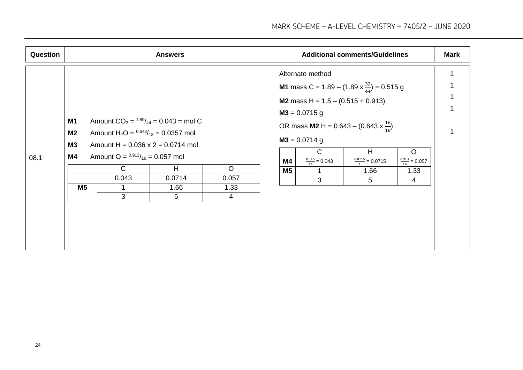| Question |                                                             |                                                                                                                                 | <b>Answers</b>                                                                                                          |                                            |                                                            |                                                                     | <b>Additional comments/Guidelines</b>                                                                                                                                                                                               |                                                    | <b>Mark</b> |
|----------|-------------------------------------------------------------|---------------------------------------------------------------------------------------------------------------------------------|-------------------------------------------------------------------------------------------------------------------------|--------------------------------------------|------------------------------------------------------------|---------------------------------------------------------------------|-------------------------------------------------------------------------------------------------------------------------------------------------------------------------------------------------------------------------------------|----------------------------------------------------|-------------|
| 08.1     | <b>M1</b><br><b>M2</b><br><b>M3</b><br>M4<br>M <sub>5</sub> | Amount H <sub>2</sub> O = $0.643/18$ = 0.0357 mol<br>Amount O = $^{0.913}/_{16}$ = 0.057 mol<br>$\mathsf{C}$<br>0.043<br>1<br>3 | Amount $CO_2 = \frac{1.89}{44} = 0.043$ = mol C<br>Amount H = $0.036 \times 2 = 0.0714$ mol<br>H<br>0.0714<br>1.66<br>5 | $\circ$<br>0.057<br>1.33<br>$\overline{4}$ | $M3 = 0.0715$ g<br>$M3 = 0.0714$ g<br>M4<br>M <sub>5</sub> | Alternate method<br>$\mathsf{C}$<br>$\frac{0.515}{12}$ = 0.043<br>3 | <b>M1</b> mass C = 1.89 – (1.89 x $\frac{32}{44}$ ) = 0.515 g<br>M2 mass H = $1.5 - (0.515 + 0.913)$<br>OR mass <b>M2</b> H = $0.643 - (0.643 \times \frac{16}{18})$<br>H<br>$\frac{0.0715}{1} = 0.0715$<br>1.66<br>$5\overline{)}$ | $\circ$<br>$\frac{0.913}{16} = 0.057$<br>1.33<br>4 |             |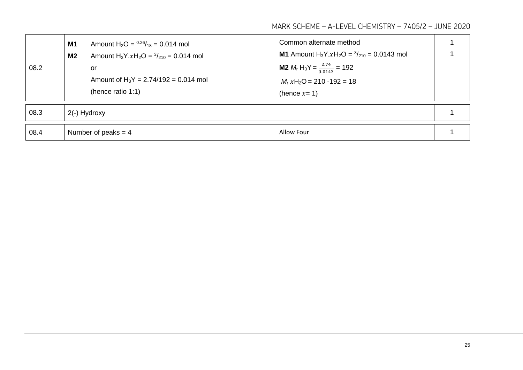MARK SCHEME – A-LEVEL CHEMISTRY – 7405/2 – JUNE 2020

| 08.2 | Amount $H_2O = {}^{0.26}/_{18} = 0.014$ mol<br><b>M1</b><br>Amount $H_3Y.xH_2O = \frac{3}{210} = 0.014$ mol<br>M <sub>2</sub><br>or<br>Amount of $H_3Y = 2.74/192 = 0.014$ mol<br>(hence ratio 1:1) | Common alternate method<br><b>M1</b> Amount H <sub>3</sub> Y.xH <sub>2</sub> O = $\frac{3}{210}$ = 0.0143 mol<br><b>M2</b> $M_r$ H <sub>3</sub> Y = $\frac{2.74}{0.0143}$ = 192<br>$Mr$ xH <sub>2</sub> O = 210 -192 = 18<br>(hence $x=1$ ) |  |
|------|-----------------------------------------------------------------------------------------------------------------------------------------------------------------------------------------------------|---------------------------------------------------------------------------------------------------------------------------------------------------------------------------------------------------------------------------------------------|--|
| 08.3 | 2(-) Hydroxy                                                                                                                                                                                        |                                                                                                                                                                                                                                             |  |
| 08.4 | Number of peaks $=$ 4                                                                                                                                                                               | Allow Four                                                                                                                                                                                                                                  |  |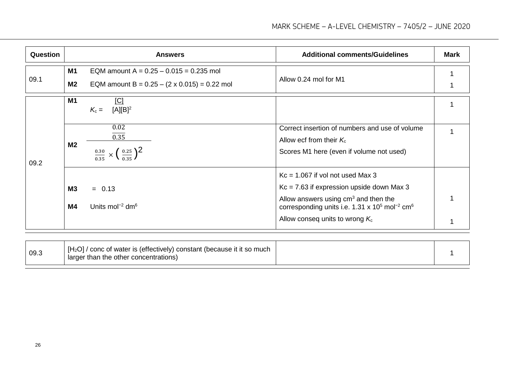| Question |                 | <b>Answers</b>                                                                                   | <b>Additional comments/Guidelines</b>                                                                                                                                                                                                                 | <b>Mark</b> |
|----------|-----------------|--------------------------------------------------------------------------------------------------|-------------------------------------------------------------------------------------------------------------------------------------------------------------------------------------------------------------------------------------------------------|-------------|
| 09.1     | <b>M1</b><br>M2 | EQM amount A = $0.25 - 0.015 = 0.235$ mol<br>EQM amount B = $0.25 - (2 \times 0.015) = 0.22$ mol | Allow 0.24 mol for M1                                                                                                                                                                                                                                 |             |
| 09.2     | <b>M1</b>       | <u>[C]</u><br>$[A][B]^2$<br>$K_c =$                                                              |                                                                                                                                                                                                                                                       |             |
|          | M <sub>2</sub>  | 0.02<br>0.35<br>$\frac{0.30}{0.35} \times (\frac{0.25}{0.35})^2$                                 | Correct insertion of numbers and use of volume<br>Allow ecf from their $K_c$<br>Scores M1 here (even if volume not used)                                                                                                                              |             |
|          | M3<br><b>M4</b> | $= 0.13$<br>Units mol <sup>-2</sup> dm <sup>6</sup>                                              | $Kc = 1.067$ if vol not used Max 3<br>$Kc = 7.63$ if expression upside down Max 3<br>Allow answers using $cm3$ and then the<br>corresponding units i.e. 1.31 x 10 <sup>5</sup> mol <sup>-2</sup> cm <sup>6</sup><br>Allow conseq units to wrong $K_c$ |             |

| 09.3 | $[H2O]$ / conc of water is (effectively) constant (because it it so much<br>larger than the other concentrations) |  |  |
|------|-------------------------------------------------------------------------------------------------------------------|--|--|
|------|-------------------------------------------------------------------------------------------------------------------|--|--|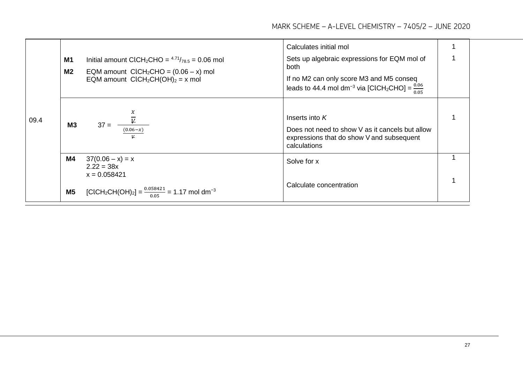|      |                |                                                                                                | Calculates initial mol                                                                                                           |  |
|------|----------------|------------------------------------------------------------------------------------------------|----------------------------------------------------------------------------------------------------------------------------------|--|
|      | M <sub>1</sub> | Initial amount ClCH <sub>2</sub> CHO = $4.71/78.5$ = 0.06 mol                                  | Sets up algebraic expressions for EQM mol of<br>both                                                                             |  |
| 09.4 | M2             | EQM amount $ClCH_2CHO = (0.06 - x)$ mol<br>EQM amount $ClCH_2CH(OH)_2 = x$ mol                 | If no M2 can only score M3 and M5 conseq<br>leads to 44.4 mol dm <sup>-3</sup> via [ClCH <sub>2</sub> CHO] = $\frac{0.06}{0.05}$ |  |
|      | M3             | $\frac{\overline{\psi}}{(0.06-x)}$<br>$37 =$                                                   | Inserts into $K$                                                                                                                 |  |
|      |                |                                                                                                | Does not need to show V as it cancels but allow<br>expressions that do show V and subsequent<br>calculations                     |  |
|      | M4             | $37(0.06 - x) = x$<br>$2.22 = 38x$<br>$x = 0.058421$                                           | Solve for x                                                                                                                      |  |
|      | M <sub>5</sub> | [CICH <sub>2</sub> CH(OH) <sub>2</sub> ] = $\frac{0.058421}{0.05}$ = 1.17 mol dm <sup>-3</sup> | Calculate concentration                                                                                                          |  |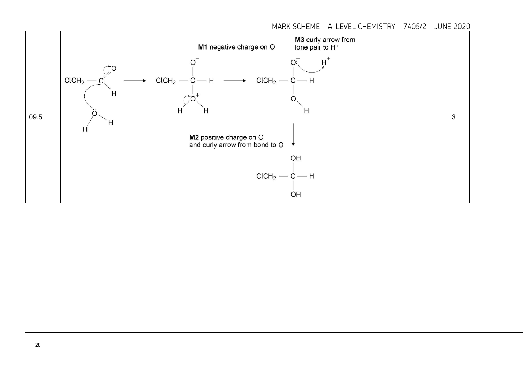MARK SCHEME – A-LEVEL CHEMISTRY – 7405/2 – JUNE 2020